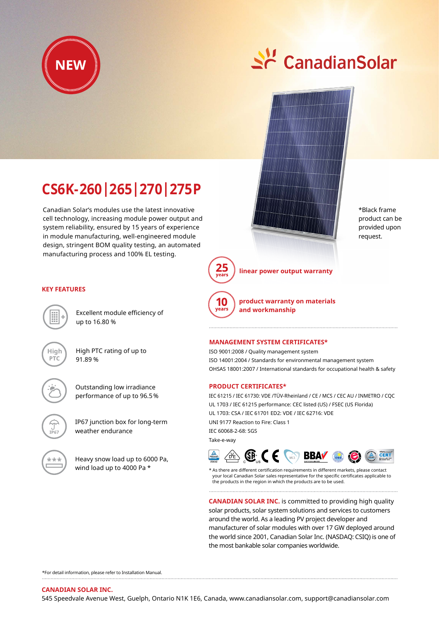

# St CanadianSolar



\*Black frame product can be provided upon request.

## **CS6K-260|265|270|275P**

Canadian Solar's modules use the latest innovative cell technology, increasing module power output and system reliability, ensured by 15 years of experience in module manufacturing, well-engineered module design, stringent BOM quality testing, an automated manufacturing process and 100% EL testing.



**KEY FEATURES**

Excellent module efficiency of up to 16.80 %



High PTC rating of up to 91.89 %



Outstanding low irradiance performance of up to 96.5 %



IP67 junction box for long-term weather endurance



Heavy snow load up to 6000 Pa, wind load up to 4000 Pa \*

**linear power output warranty**



**product warranty on materials and workmanship**

### **Management System Certificates\***

ISO 9001:2008 / Quality management system ISO 14001:2004 / Standards for environmental management system OHSAS 18001:2007 / International standards for occupational health & safety

#### **Product CERTIFICATEs\***

IEC 61215 / IEC 61730: VDE /TÜV-Rheinland / CE / MCS / CEC AU / INMETRO / CQC UL 1703 / IEC 61215 performance: CEC listed (US) / FSEC (US Florida) UL 1703: CSA / IEC 61701 ED2: VDE / IEC 62716: VDE UNI 9177 Reaction to Fire: Class 1 IEC 60068-2-68: SGS Take-e-way



\* As there are different certification requirements in different markets, please contact your local Canadian Solar sales representative for the specific certificates applicable to the products in the region in which the products are to be used.

**CANADIAN SOLAR INC.** is committed to providing high quality solar products, solar system solutions and services to customers around the world. As a leading PV project developer and manufacturer of solar modules with over 17 GW deployed around the world since 2001, Canadian Solar Inc. (NASDAQ: CSIQ) is one of the most bankable solar companies worldwide.

\*For detail information, please refer to Installation Manual.